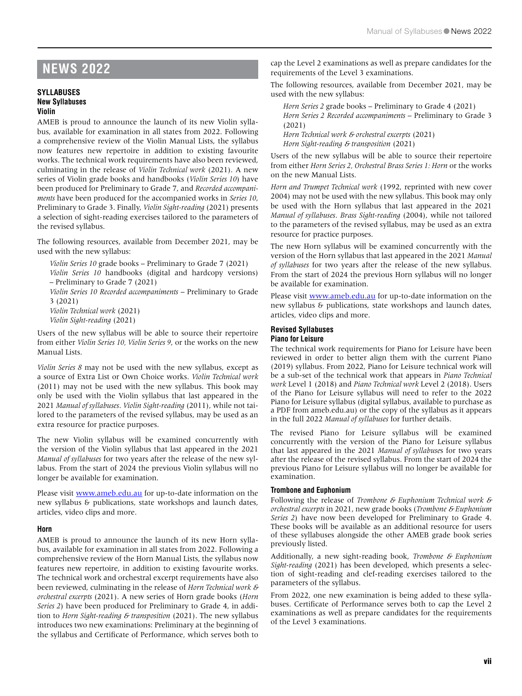# **NEWS 2022**

#### **SYLLABUSES New Syllabuses Violin**

AMEB is proud to announce the launch of its new Violin syllabus, available for examination in all states from 2022. Following a comprehensive review of the Violin Manual Lists, the syllabus now features new repertoire in addition to existing favourite works. The technical work requirements have also been reviewed, culminating in the release of *Violin Technical work* (2021). A new series of Violin grade books and handbooks (*Violin Series 10*) have been produced for Preliminary to Grade 7, and *Recorded accompaniments* have been produced for the accompanied works in *Series 10*, Preliminary to Grade 3. Finally, *Violin Sight-reading* (2021) presents a selection of sight-reading exercises tailored to the parameters of the revised syllabus.

The following resources, available from December 2021, may be used with the new syllabus:

*Violin Series 10* grade books – Preliminary to Grade 7 (2021) *Violin Series 10* handbooks (digital and hardcopy versions) – Preliminary to Grade 7 (2021) *Violin Series 10 Recorded accompaniments* – Preliminary to Grade

3 (2021)

*Violin Technical work* (2021) *Violin Sight-reading* (2021)

Users of the new syllabus will be able to source their repertoire from either *Violin Series 10, Violin Series 9*, or the works on the new Manual Lists.

*Violin Series 8* may not be used with the new syllabus, except as a source of Extra List or Own Choice works. *Violin Technical work* (2011) may not be used with the new syllabus. This book may only be used with the Violin syllabus that last appeared in the 2021 *Manual of syllabuses*. *Violin Sight-reading* (2011), while not tailored to the parameters of the revised syllabus, may be used as an extra resource for practice purposes.

The new Violin syllabus will be examined concurrently with the version of the Violin syllabus that last appeared in the 2021 *Manual of syllabuses* for two years after the release of the new syllabus. From the start of 2024 the previous Violin syllabus will no longer be available for examination.

Please visit [www.ameb.edu.au](http://www.ameb.edu.au) for up-to-date information on the new syllabus & publications, state workshops and launch dates, articles, video clips and more.

## **Horn**

AMEB is proud to announce the launch of its new Horn syllabus, available for examination in all states from 2022. Following a comprehensive review of the Horn Manual Lists, the syllabus now features new repertoire, in addition to existing favourite works. The technical work and orchestral excerpt requirements have also been reviewed, culminating in the release of *Horn Technical work* & *orchestral excerpts* (2021). A new series of Horn grade books (*Horn Series 2*) have been produced for Preliminary to Grade 4, in addition to *Horn Sight-reading* & *transposition* (2021). The new syllabus introduces two new examinations: Preliminary at the beginning of the syllabus and Certificate of Performance, which serves both to cap the Level 2 examinations as well as prepare candidates for the requirements of the Level 3 examinations.

The following resources, available from December 2021, may be used with the new syllabus:

*Horn Series 2* grade books – Preliminary to Grade 4 (2021) *Horn Series 2 Recorded accompaniments* – Preliminary to Grade 3 (2021)

*Horn Technical work* & *orchestral excerpts* (2021)

*Horn Sight-reading* & *transposition* (2021)

Users of the new syllabus will be able to source their repertoire from either *Horn Series 2, Orchestral Brass Series 1: Horn* or the works on the new Manual Lists.

*Horn and Trumpet Technical work* (1992, reprinted with new cover 2004) may not be used with the new syllabus. This book may only be used with the Horn syllabus that last appeared in the 2021 *Manual of syllabuses*. *Brass Sight-reading* (2004), while not tailored to the parameters of the revised syllabus, may be used as an extra resource for practice purposes.

The new Horn syllabus will be examined concurrently with the version of the Horn syllabus that last appeared in the 2021 *Manual of syllabuses* for two years after the release of the new syllabus. From the start of 2024 the previous Horn syllabus will no longer be available for examination.

Please visit [www.ameb.edu.au](http://www.ameb.edu.au) for up-to-date information on the new syllabus & publications, state workshops and launch dates, articles, video clips and more.

#### **Revised Syllabuses Piano for Leisure**

The technical work requirements for Piano for Leisure have been reviewed in order to better align them with the current Piano (2019) syllabus. From 2022, Piano for Leisure technical work will be a sub-set of the technical work that appears in *Piano Technical work* Level 1 (2018) and *Piano Technical work* Level 2 (2018). Users of the Piano for Leisure syllabus will need to refer to the 2022 Piano for Leisure syllabus (digital syllabus, available to purchase as a PDF from ameb.edu.au) or the copy of the syllabus as it appears in the full 2022 *Manual of syllabuses* for further details.

The revised Piano for Leisure syllabus will be examined concurrently with the version of the Piano for Leisure syllabus that last appeared in the 2021 *Manual of syllabuse*s for two years after the release of the revised syllabus. From the start of 2024 the previous Piano for Leisure syllabus will no longer be available for examination.

## **Trombone and Euphonium**

Following the release of *Trombone* & *Euphonium Technical work* & *orchestral excerpts* in 2021, new grade books (*Trombone* & *Euphonium Series 2*) have now been developed for Preliminary to Grade 4. These books will be available as an additional resource for users of these syllabuses alongside the other AMEB grade book series previously listed.

Additionally, a new sight-reading book, *Trombone* & *Euphonium Sight-reading* (2021) has been developed, which presents a selection of sight-reading and clef-reading exercises tailored to the parameters of the syllabus.

From 2022, one new examination is being added to these syllabuses. Certificate of Performance serves both to cap the Level 2 examinations as well as prepare candidates for the requirements of the Level 3 examinations.